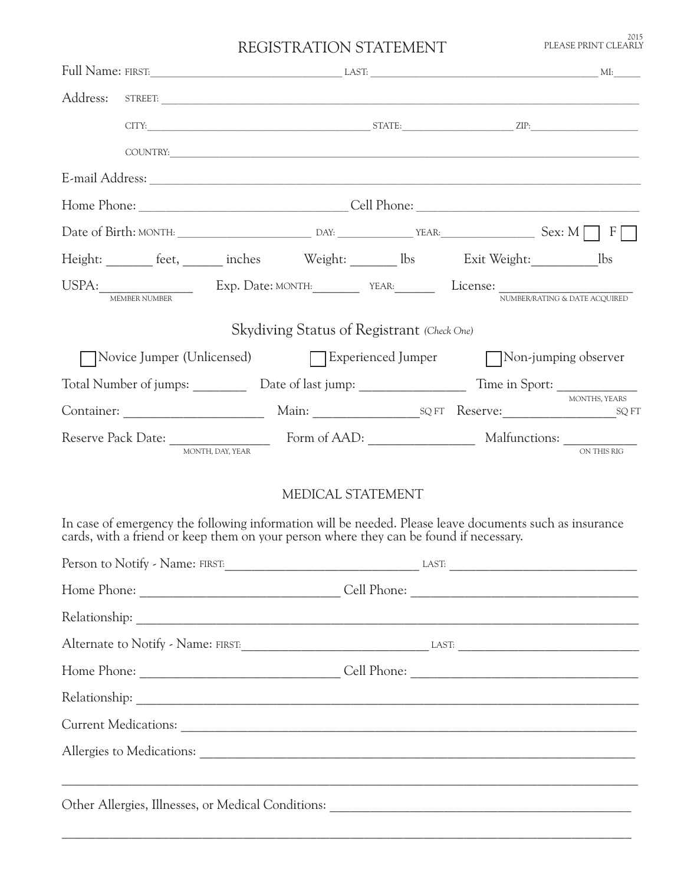<sup>2015</sup><br>PLEASE PRINT CLEARLY

## REGISTRATION STATEMENT

| Full Name: FIRST: MI: MI:                                                                                                                                                                                                      |                                            |  |               |
|--------------------------------------------------------------------------------------------------------------------------------------------------------------------------------------------------------------------------------|--------------------------------------------|--|---------------|
|                                                                                                                                                                                                                                |                                            |  |               |
|                                                                                                                                                                                                                                |                                            |  |               |
|                                                                                                                                                                                                                                |                                            |  |               |
|                                                                                                                                                                                                                                |                                            |  |               |
|                                                                                                                                                                                                                                |                                            |  |               |
|                                                                                                                                                                                                                                |                                            |  |               |
| Height: _______ feet, _______ inches Weight: ________ lbs Exit Weight: __________ lbs                                                                                                                                          |                                            |  |               |
| USPA: MEMBER NUMBER NUMBER NUMBER NUMBER NUMBER NUMBER NUMBER NUMBER NUMBER NUMBER NUMBER NUMBER NUMBER NUMBER NUMBER NUMBER NUMBER NUMBER NUMBER NUMBER NUMBER NUMBER NUMBER NUMBER NUMBER NUMBER NUMBER NUMBER NUMBER NUMBER |                                            |  |               |
|                                                                                                                                                                                                                                | Skydiving Status of Registrant (Check One) |  |               |
| Novice Jumper (Unlicensed) Bxperienced Jumper Non-jumping observer                                                                                                                                                             |                                            |  |               |
| Total Number of jumps: ____________ Date of last jump: __________________________ Time in Sport: _____________                                                                                                                 |                                            |  |               |
|                                                                                                                                                                                                                                |                                            |  | MONTHS, YEARS |
| MONTH, DAY, YEAR                                                                                                                                                                                                               |                                            |  | ON THIS RIG   |
|                                                                                                                                                                                                                                | MEDICAL STATEMENT                          |  |               |
| In case of emergency the following information will be needed. Please leave documents such as insurance<br>cards, with a friend or keep them on your person where they can be found if necessary.                              |                                            |  |               |
| Person to Notify - Name: FIRST: CONSERVING THE SERVING OF THE SERVING OF THE SERVING OF THE SERVING OF THE SERVING OF THE SERVING OF THE SERVING OF THE SERVING OF THE SERVING OF THE SERVING OF THE SERVING OF THE SERVING OF |                                            |  |               |
|                                                                                                                                                                                                                                |                                            |  |               |
|                                                                                                                                                                                                                                |                                            |  |               |
|                                                                                                                                                                                                                                |                                            |  |               |
|                                                                                                                                                                                                                                |                                            |  |               |
|                                                                                                                                                                                                                                |                                            |  |               |
|                                                                                                                                                                                                                                |                                            |  |               |
|                                                                                                                                                                                                                                |                                            |  |               |
|                                                                                                                                                                                                                                |                                            |  |               |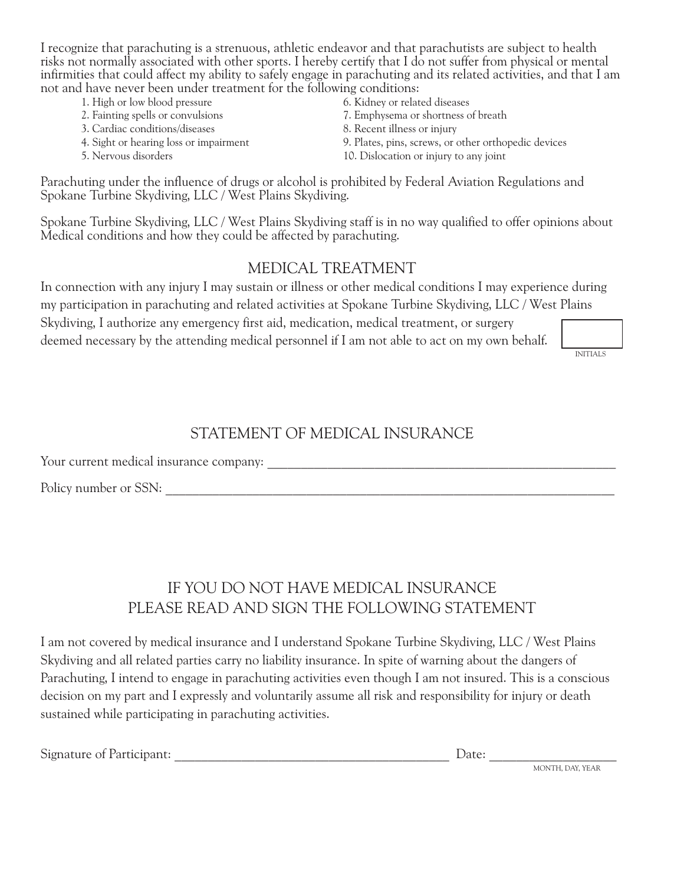I recognize that parachuting is a strenuous, athletic endeavor and that parachutists are subject to health risks not normally associated with other sports. I hereby certify that I do not suffer from physical or mental infirmities that could affect my ability to safely engage in parachuting and its related activities, and that I am not and have never been under treatment for the following conditions:

- 1. High or low blood pressure 6. Kidney or related diseases
- 
- 3. Cardiac conditions/diseases 8. Recent illness or injury
- 
- 
- 
- 2. Fainting spells or convulsions 7. Emphysema or shortness of breath
	-
- 4. Sight or hearing loss or impairment 9. Plates, pins, screws, or other orthopedic devices
- 5. Nervous disorders 10. Dislocation or injury to any joint

Parachuting under the influence of drugs or alcohol is prohibited by Federal Aviation Regulations and Spokane Turbine Skydiving, LLC / West Plains Skydiving.

Spokane Turbine Skydiving, LLC / West Plains Skydiving staff is in no way qualified to offer opinions about Medical conditions and how they could be affected by parachuting.

#### MEDICAL TREATMENT

In connection with any injury I may sustain or illness or other medical conditions I may experience during my participation in parachuting and related activities at Spokane Turbine Skydiving, LLC / West Plains Skydiving, I authorize any emergency first aid, medication, medical treatment, or surgery deemed necessary by the attending medical personnel if I am not able to act on my own behalf.

INITIALS

#### STATEMENT OF MEDICAL INSURANCE

Your current medical insurance company: \_\_\_\_\_\_\_\_\_\_\_\_\_\_\_\_\_\_\_\_\_\_\_\_\_\_\_\_\_\_\_\_\_\_\_\_\_\_\_\_\_\_\_\_\_\_\_\_\_\_\_\_

Policy number or SSN: \_\_\_\_\_\_\_\_\_\_\_\_\_\_\_\_\_\_\_\_\_\_\_\_\_\_\_\_\_\_\_\_\_\_\_\_\_\_\_\_\_\_\_\_\_\_\_\_\_\_\_\_\_\_\_\_\_\_\_\_\_\_\_\_\_\_\_

# IF YOU DO NOT HAVE MEDICAL INSURANCE PLEASE READ AND SIGN THE FOLLOWING STATEMENT

I am not covered by medical insurance and I understand Spokane Turbine Skydiving, LLC / West Plains Skydiving and all related parties carry no liability insurance. In spite of warning about the dangers of Parachuting, I intend to engage in parachuting activities even though I am not insured. This is a conscious decision on my part and I expressly and voluntarily assume all risk and responsibility for injury or death sustained while participating in parachuting activities.

|  |  |  | Signature of Participant: |
|--|--|--|---------------------------|
|--|--|--|---------------------------|

Date:  $\frac{ }{ }$ 

MONTH, DAY, YEAR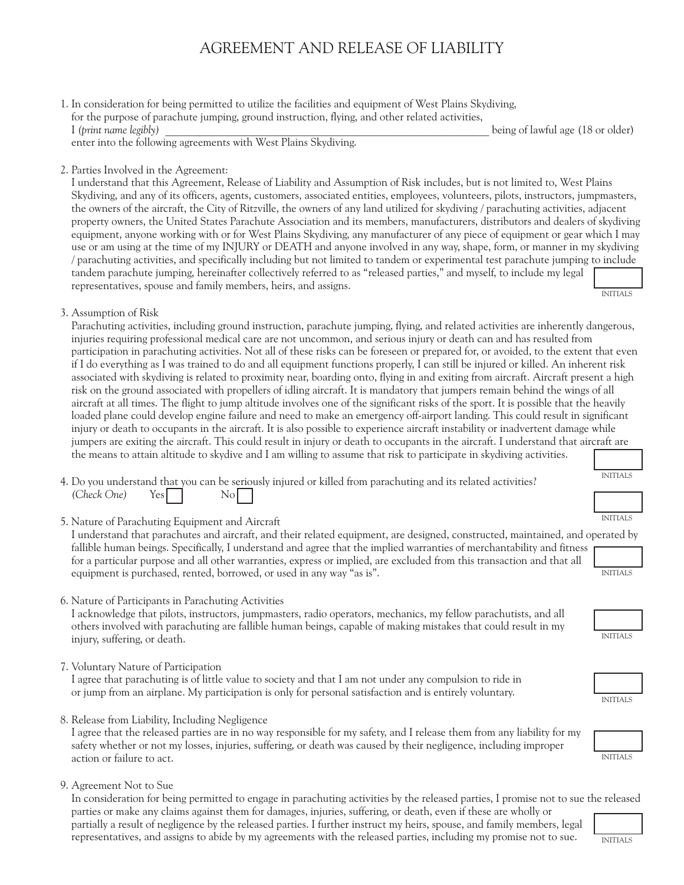## AGREEMENT AND RELEASE OF LIABILITY

1. In consideration for being permitted to utilize the facilities and equipment of West Plains Skydiving, for the purpose of parachute jumping, ground instruction, flying, and other related activities, I (print name legibly) **Let us a set of lawful age (18 or older)** being of lawful age (18 or older)

enter into the following agreements with West Plains Skydiving.

#### 2. Parties Involved in the Agreement:

INITIALS I understand that this Agreement, Release of Liability and Assumption of Risk includes, but is not limited to, West Plains Skydiving, and any of its officers, agents, customers, associated entities, employees, volunteers, pilots, instructors, jumpmasters, the owners of the aircraft, the City of Ritzville, the owners of any land utilized for skydiving / parachuting activities, adjacent property owners, the United States Parachute Association and its members, manufacturers, distributors and dealers of skydiving equipment, anyone working with or for West Plains Skydiving, any manufacturer of any piece of equipment or gear which I may use or am using at the time of my INJURY or DEATH and anyone involved in any way, shape, form, or manner in my skydiving / parachuting activities, and specifically including but not limited to tandem or experimental test parachute jumping to include tandem parachute jumping, hereinafter collectively referred to as "released parties," and myself, to include my legal representatives, spouse and family members, heirs, and assigns.

3. Assumption of Risk

Parachuting activities, including ground instruction, parachute jumping, flying, and related activities are inherently dangerous, injuries requiring professional medical care are not uncommon, and serious injury or death can and has resulted from participation in parachuting activities. Not all of these risks can be foreseen or prepared for, or avoided, to the extent that even if I do everything as I was trained to do and all equipment functions properly, I can still be injured or killed. An inherent risk associated with skydiving is related to proximity near, boarding onto, flying in and exiting from aircraft. Aircraft present a high risk on the ground associated with propellers of idling aircraft. It is mandatory that jumpers remain behind the wings of all aircraft at all times. The flight to jump altitude involves one of the significant risks of the sport. It is possible that the heavily loaded plane could develop engine failure and need to make an emergency off-airport landing. This could result in significant injury or death to occupants in the aircraft. It is also possible to experience aircraft instability or inadvertent damage while jumpers are exiting the aircraft. This could result in injury or death to occupants in the aircraft. I understand that aircraft are the means to attain altitude to skydive and I am willing to assume that risk to participate in skydiving activities.

4. Do you understand that you can be seriously injured or killed from parachuting and its related activities? *(Check One)* **Yes** No

5. Nature of Parachuting Equipment and Aircraft

INITIALS I understand that parachutes and aircraft, and their related equipment, are designed, constructed, maintained, and operated by fallible human beings. Specifically, I understand and agree that the implied warranties of merchantability and fitness for a particular purpose and all other warranties, express or implied, are excluded from this transaction and that all equipment is purchased, rented, borrowed, or used in any way "as is".

6. Nature of Participants in Parachuting Activities

I acknowledge that pilots, instructors, jumpmasters, radio operators, mechanics, my fellow parachutists, and all others involved with parachuting are fallible human beings, capable of making mistakes that could result in my injury, suffering, or death.

7. Voluntary Nature of Participation

I agree that parachuting is of little value to society and that I am not under any compulsion to ride in or jump from an airplane. My participation is only for personal satisfaction and is entirely voluntary.

8. Release from Liability, Including Negligence

I agree that the released parties are in no way responsible for my safety, and I release them from any liability for my safety whether or not my losses, injuries, suffering, or death was caused by their negligence, including improper action or failure to act.

9. Agreement Not to Sue

INITIALS In consideration for being permitted to engage in parachuting activities by the released parties, I promise not to sue the released parties or make any claims against them for damages, injuries, suffering, or death, even if these are wholly or partially a result of negligence by the released parties. I further instruct my heirs, spouse, and family members, legal representatives, and assigns to abide by my agreements with the released parties, including my promise not to sue.

INITIALS







| <b>INITIALS</b> |  |
|-----------------|--|
|                 |  |
|                 |  |